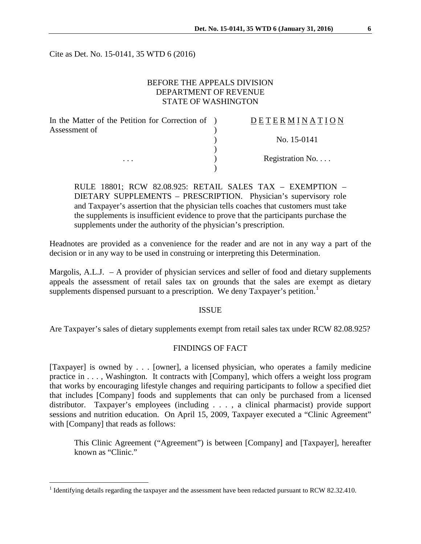Cite as Det. No. 15-0141, 35 WTD 6 (2016)

## BEFORE THE APPEALS DIVISION DEPARTMENT OF REVENUE STATE OF WASHINGTON

| In the Matter of the Petition for Correction of ) | DETERMINATION   |
|---------------------------------------------------|-----------------|
| Assessment of                                     |                 |
|                                                   | No. 15-0141     |
|                                                   |                 |
| $\cdots$                                          | Registration No |
|                                                   |                 |

RULE 18801; RCW 82.08.925: RETAIL SALES TAX – EXEMPTION – DIETARY SUPPLEMENTS – PRESCRIPTION. Physician's supervisory role and Taxpayer's assertion that the physician tells coaches that customers must take the supplements is insufficient evidence to prove that the participants purchase the supplements under the authority of the physician's prescription.

Headnotes are provided as a convenience for the reader and are not in any way a part of the decision or in any way to be used in construing or interpreting this Determination.

Margolis, A.L.J. – A provider of physician services and seller of food and dietary supplements appeals the assessment of retail sales tax on grounds that the sales are exempt as dietary supplements dispensed pursuant to a prescription. We deny Taxpayer's petition.<sup>[1](#page-0-0)</sup>

### ISSUE

Are Taxpayer's sales of dietary supplements exempt from retail sales tax under RCW 82.08.925?

# FINDINGS OF FACT

[Taxpayer] is owned by . . . [owner], a licensed physician, who operates a family medicine practice in . . . , Washington. It contracts with [Company], which offers a weight loss program that works by encouraging lifestyle changes and requiring participants to follow a specified diet that includes [Company] foods and supplements that can only be purchased from a licensed distributor. Taxpayer's employees (including . . . , a clinical pharmacist) provide support sessions and nutrition education. On April 15, 2009, Taxpayer executed a "Clinic Agreement" with [Company] that reads as follows:

This Clinic Agreement ("Agreement") is between [Company] and [Taxpayer], hereafter known as "Clinic."

<span id="page-0-0"></span><sup>&</sup>lt;sup>1</sup> Identifying details regarding the taxpayer and the assessment have been redacted pursuant to RCW 82.32.410.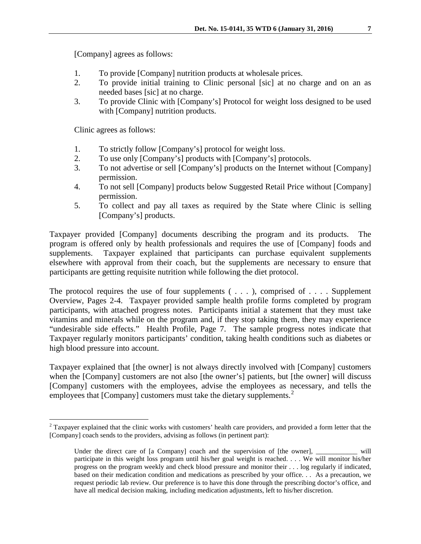[Company] agrees as follows:

- 1. To provide [Company] nutrition products at wholesale prices.
- 2. To provide initial training to Clinic personal [sic] at no charge and on an as needed bases [sic] at no charge.
- 3. To provide Clinic with [Company's] Protocol for weight loss designed to be used with [Company] nutrition products.

Clinic agrees as follows:

- 1. To strictly follow [Company's] protocol for weight loss.
- 2. To use only [Company's] products with [Company's] protocols.
- 3. To not advertise or sell [Company's] products on the Internet without [Company] permission.
- 4. To not sell [Company] products below Suggested Retail Price without [Company] permission.
- 5. To collect and pay all taxes as required by the State where Clinic is selling [Company's] products.

Taxpayer provided [Company] documents describing the program and its products. The program is offered only by health professionals and requires the use of [Company] foods and supplements. Taxpayer explained that participants can purchase equivalent supplements elsewhere with approval from their coach, but the supplements are necessary to ensure that participants are getting requisite nutrition while following the diet protocol.

The protocol requires the use of four supplements  $( \ldots )$ , comprised of ... Supplement Overview, Pages 2-4. Taxpayer provided sample health profile forms completed by program participants, with attached progress notes. Participants initial a statement that they must take vitamins and minerals while on the program and, if they stop taking them, they may experience "undesirable side effects." Health Profile, Page 7. The sample progress notes indicate that Taxpayer regularly monitors participants' condition, taking health conditions such as diabetes or high blood pressure into account.

Taxpayer explained that [the owner] is not always directly involved with [Company] customers when the [Company] customers are not also [the owner's] patients, but [the owner] will discuss [Company] customers with the employees, advise the employees as necessary, and tells the employees that [Company] customers must take the dietary supplements.<sup>[2](#page-1-0)</sup>

<span id="page-1-0"></span> $2$  Taxpayer explained that the clinic works with customers' health care providers, and provided a form letter that the [Company] coach sends to the providers, advising as follows (in pertinent part):

Under the direct care of [a Company] coach and the supervision of [the owner], will participate in this weight loss program until his/her goal weight is reached. . . . We will monitor his/her progress on the program weekly and check blood pressure and monitor their . . . log regularly if indicated, based on their medication condition and medications as prescribed by your office. . . As a precaution, we request periodic lab review. Our preference is to have this done through the prescribing doctor's office, and have all medical decision making, including medication adjustments, left to his/her discretion.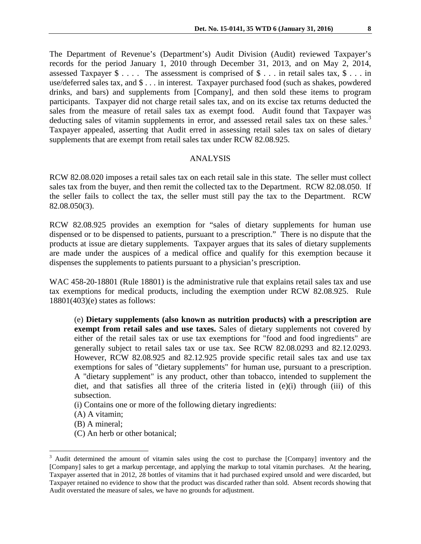The Department of Revenue's (Department's) Audit Division (Audit) reviewed Taxpayer's records for the period January 1, 2010 through December 31, 2013, and on May 2, 2014, assessed Taxpayer \$ . . . . The assessment is comprised of \$ . . . in retail sales tax, \$ . . . in use/deferred sales tax, and \$ . . . in interest. Taxpayer purchased food (such as shakes, powdered drinks, and bars) and supplements from [Company], and then sold these items to program participants. Taxpayer did not charge retail sales tax, and on its excise tax returns deducted the sales from the measure of retail sales tax as exempt food. Audit found that Taxpayer was deducting sales of vitamin supplements in error, and assessed retail sales tax on these sales.<sup>[3](#page-2-0)</sup> Taxpayer appealed, asserting that Audit erred in assessing retail sales tax on sales of dietary supplements that are exempt from retail sales tax under RCW 82.08.925.

### ANALYSIS

RCW 82.08.020 imposes a retail sales tax on each retail sale in this state. The seller must collect sales tax from the buyer, and then remit the collected tax to the Department. RCW 82.08.050. If the seller fails to collect the tax, the seller must still pay the tax to the Department. RCW 82.08.050(3).

RCW 82.08.925 provides an exemption for "sales of dietary supplements for human use dispensed or to be dispensed to patients, pursuant to a prescription." There is no dispute that the products at issue are dietary supplements. Taxpayer argues that its sales of dietary supplements are made under the auspices of a medical office and qualify for this exemption because it dispenses the supplements to patients pursuant to a physician's prescription.

WAC 458-20-18801 (Rule 18801) is the administrative rule that explains retail sales tax and use tax exemptions for medical products, including the exemption under RCW 82.08.925. Rule 18801(403)(e) states as follows:

(e) **Dietary supplements (also known as nutrition products) with a prescription are exempt from retail sales and use taxes.** Sales of dietary supplements not covered by either of the retail sales tax or use tax exemptions for "food and food ingredients" are generally subject to retail sales tax or use tax. See RCW 82.08.0293 and 82.12.0293. However, RCW 82.08.925 and 82.12.925 provide specific retail sales tax and use tax exemptions for sales of "dietary supplements" for human use, pursuant to a prescription. A "dietary supplement" is any product, other than tobacco, intended to supplement the diet, and that satisfies all three of the criteria listed in (e)(i) through (iii) of this subsection.

(i) Contains one or more of the following dietary ingredients:

- (A) A vitamin;
- (B) A mineral;
- (C) An herb or other botanical;

<span id="page-2-0"></span><sup>&</sup>lt;sup>3</sup> Audit determined the amount of vitamin sales using the cost to purchase the [Company] inventory and the [Company] sales to get a markup percentage, and applying the markup to total vitamin purchases. At the hearing, Taxpayer asserted that in 2012, 28 bottles of vitamins that it had purchased expired unsold and were discarded, but Taxpayer retained no evidence to show that the product was discarded rather than sold. Absent records showing that Audit overstated the measure of sales, we have no grounds for adjustment.